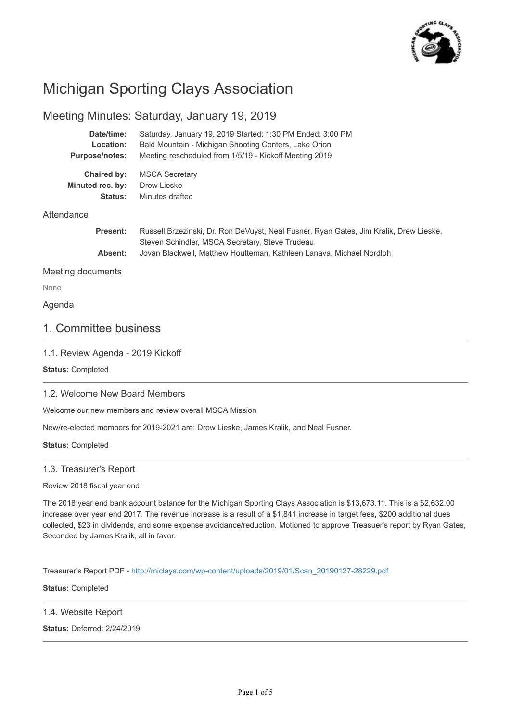

# Michigan Sporting Clays Association

### Meeting Minutes: Saturday, January 19, 2019

| Date/time:                                 | Saturday, January 19, 2019 Started: 1:30 PM Ended: 3:00 PM |
|--------------------------------------------|------------------------------------------------------------|
| Location:                                  | Bald Mountain - Michigan Shooting Centers, Lake Orion      |
| <b>Purpose/notes:</b>                      | Meeting rescheduled from 1/5/19 - Kickoff Meeting 2019     |
| Chaired by:<br>Minuted rec. by:<br>Status: | <b>MSCA Secretary</b><br>Drew Lieske<br>Minutes drafted    |

#### **Attendance**

| <b>Present:</b> | Russell Brzezinski, Dr. Ron DeVuyst, Neal Fusner, Ryan Gates, Jim Kralik, Drew Lieske, |
|-----------------|----------------------------------------------------------------------------------------|
|                 | Steven Schindler, MSCA Secretary, Steve Trudeau                                        |
| Absent:         | Jovan Blackwell, Matthew Houtteman, Kathleen Lanava, Michael Nordloh                   |

#### Meeting documents

None

#### Agenda

## 1. Committee business

#### 1.1. Review Agenda - 2019 Kickoff

**Status:** Completed

#### 1.2. Welcome New Board Members

Welcome our new members and review overall MSCA Mission

New/re-elected members for 2019-2021 are: Drew Lieske, James Kralik, and Neal Fusner.

#### **Status:** Completed

#### 1.3. Treasurer's Report

Review 2018 fiscal year end.

The 2018 year end bank account balance for the Michigan Sporting Clays Association is \$13,673.11. This is a \$2,632.00 increase over year end 2017. The revenue increase is a result of a \$1,841 increase in target fees, \$200 additional dues collected, \$23 in dividends, and some expense avoidance/reduction. Motioned to approve Treasuer's report by Ryan Gates, Seconded by James Kralik, all in favor.

Treasurer's Report PDF - [http://miclays.com/wp-content/uploads/2019/01/Scan\\_20190127-28229.pdf](http://miclays.com/wp-content/uploads/2019/01/Scan_20190127-28229.pdf)

**Status:** Completed

#### 1.4. Website Report

**Status:** Deferred: 2/24/2019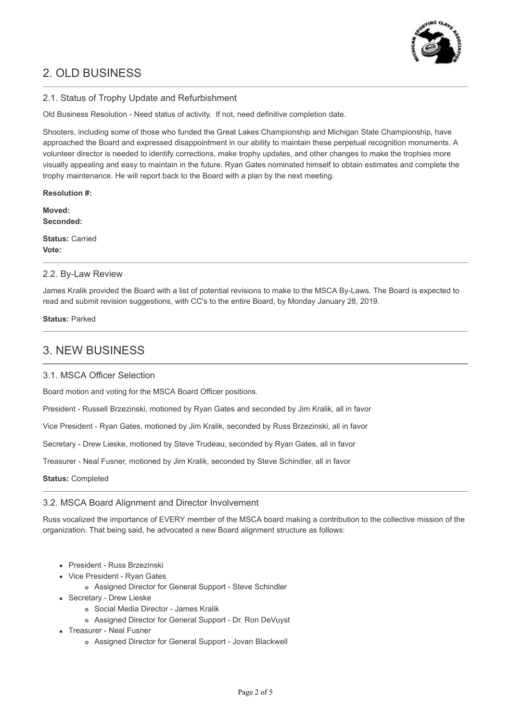

## 2. OLD BUSINESS

#### 2.1. Status of Trophy Update and Refurbishment

Old Business Resolution - Need status of activity. If not, need definitive completion date.

Shooters, including some of those who funded the Great Lakes Championship and Michigan State Championship, have approached the Board and expressed disappointment in our ability to maintain these perpetual recognition monuments. A volunteer director is needed to identify corrections, make trophy updates, and other changes to make the trophies more visually appealing and easy to maintain in the future. Ryan Gates nominated himself to obtain estimates and complete the trophy maintenance. He will report back to the Board with a plan by the next meeting.

**Resolution #:**

**Moved: Seconded:**

**Status:** Carried **Vote:**

#### 2.2. By-Law Review

James Kralik provided the Board with a list of potential revisions to make to the MSCA By-Laws. The Board is expected to read and submit revision suggestions, with CC's to the entire Board, by Monday January 28, 2019.

#### **Status:** Parked

## 3. NEW BUSINESS

#### 3.1. MSCA Officer Selection

Board motion and voting for the MSCA Board Officer positions.

President - Russell Brzezinski, motioned by Ryan Gates and seconded by Jim Kralik, all in favor

Vice President - Ryan Gates, motioned by Jim Kralik, seconded by Russ Brzezinski, all in favor

Secretary - Drew Lieske, motioned by Steve Trudeau, seconded by Ryan Gates, all in favor

Treasurer - Neal Fusner, motioned by Jim Kralik, seconded by Steve Schindler, all in favor

**Status:** Completed

#### 3.2. MSCA Board Alignment and Director Involvement

Russ vocalized the importance of EVERY member of the MSCA board making a contribution to the collective mission of the organization. That being said, he advocated a new Board alignment structure as follows:

- President Russ Brzezinski
- Vice President Ryan Gates
	- Assigned Director for General Support Steve Schindler
- Secretary Drew Lieske
	- o Social Media Director James Kralik
	- Assigned Director for General Support Dr. Ron DeVuyst
- Treasurer Neal Fusner
	- Assigned Director for General Support Jovan Blackwell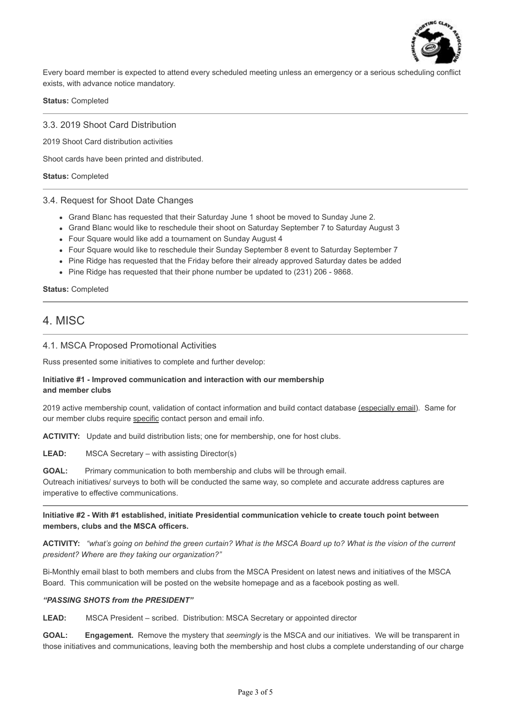

Every board member is expected to attend every scheduled meeting unless an emergency or a serious scheduling conflict exists, with advance notice mandatory.

**Status:** Completed

#### 3.3. 2019 Shoot Card Distribution

2019 Shoot Card distribution activities

Shoot cards have been printed and distributed.

**Status:** Completed

#### 3.4. Request for Shoot Date Changes

- Grand Blanc has requested that their Saturday June 1 shoot be moved to Sunday June 2.
- Grand Blanc would like to reschedule their shoot on Saturday September 7 to Saturday August 3
- Four Square would like add a tournament on Sunday August 4
- Four Square would like to reschedule their Sunday September 8 event to Saturday September 7
- Pine Ridge has requested that the Friday before their already approved Saturday dates be added
- Pine Ridge has requested that their phone number be updated to (231) 206 9868.

**Status:** Completed

## 4. MISC

#### 4.1. MSCA Proposed Promotional Activities

Russ presented some initiatives to complete and further develop:

#### **Initiative #1 - Improved communication and interaction with our membership and member clubs**

2019 active membership count, validation of contact information and build contact database (especially email). Same for our member clubs require specific contact person and email info.

**ACTIVITY:** Update and build distribution lists; one for membership, one for host clubs.

LEAD: MSCA Secretary – with assisting Director(s)

**GOAL:** Primary communication to both membership and clubs will be through email. Outreach initiatives/ surveys to both will be conducted the same way, so complete and accurate address captures are imperative to effective communications.

#### **Initiative #2 - With #1 established, initiate Presidential communication vehicle to create touch point between members, clubs and the MSCA officers.**

**ACTIVITY:** *"what's going on behind the green curtain? What is the MSCA Board up to? What is the vision of the current president? Where are they taking our organization?"*

Bi-Monthly email blast to both members and clubs from the MSCA President on latest news and initiatives of the MSCA Board. This communication will be posted on the website homepage and as a facebook posting as well.

#### *"PASSING SHOTS from the PRESIDENT"*

**LEAD:** MSCA President – scribed. Distribution: MSCA Secretary or appointed director

**GOAL: Engagement.** Remove the mystery that *seemingly* is the MSCA and our initiatives. We will be transparent in those initiatives and communications, leaving both the membership and host clubs a complete understanding of our charge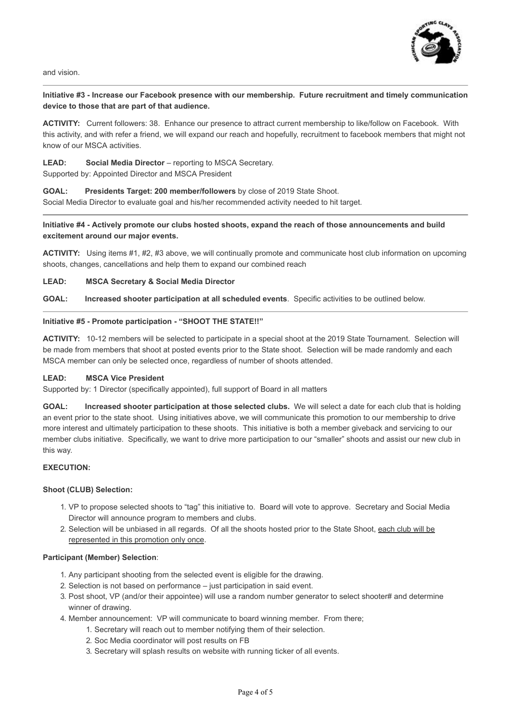

and vision.

#### **Initiative #3 - Increase our Facebook presence with our membership. Future recruitment and timely communication device to those that are part of that audience.**

**ACTIVITY:** Current followers: 38. Enhance our presence to attract current membership to like/follow on Facebook. With this activity, and with refer a friend, we will expand our reach and hopefully, recruitment to facebook members that might not know of our MSCA activities.

#### **LEAD: Social Media Director** – reporting to MSCA Secretary.

Supported by: Appointed Director and MSCA President

**GOAL: Presidents Target: 200 member/followers** by close of 2019 State Shoot. Social Media Director to evaluate goal and his/her recommended activity needed to hit target.

#### **Initiative #4 - Actively promote our clubs hosted shoots, expand the reach of those announcements and build excitement around our major events.**

**ACTIVITY:** Using items #1, #2, #3 above, we will continually promote and communicate host club information on upcoming shoots, changes, cancellations and help them to expand our combined reach

#### **LEAD: MSCA Secretary & Social Media Director**

**GOAL: Increased shooter participation at all scheduled events**. Specific activities to be outlined below.

#### **Initiative #5 - Promote participation - "SHOOT THE STATE!!"**

**ACTIVITY:** 10-12 members will be selected to participate in a special shoot at the 2019 State Tournament. Selection will be made from members that shoot at posted events prior to the State shoot. Selection will be made randomly and each MSCA member can only be selected once, regardless of number of shoots attended.

#### **LEAD: MSCA Vice President**

Supported by: 1 Director (specifically appointed), full support of Board in all matters

**GOAL: Increased shooter participation at those selected clubs.** We will select a date for each club that is holding an event prior to the state shoot. Using initiatives above, we will communicate this promotion to our membership to drive more interest and ultimately participation to these shoots. This initiative is both a member giveback and servicing to our member clubs initiative. Specifically, we want to drive more participation to our "smaller" shoots and assist our new club in this way.

#### **EXECUTION:**

#### **Shoot (CLUB) Selection:**

- 1. VP to propose selected shoots to "tag" this initiative to. Board will vote to approve. Secretary and Social Media Director will announce program to members and clubs.
- 2. Selection will be unbiased in all regards. Of all the shoots hosted prior to the State Shoot, each club will be represented in this promotion only once.

#### **Participant (Member) Selection**:

- 1. Any participant shooting from the selected event is eligible for the drawing.
- 2. Selection is not based on performance just participation in said event.
- 3. Post shoot, VP (and/or their appointee) will use a random number generator to select shooter# and determine winner of drawing.
- 4. Member announcement: VP will communicate to board winning member. From there;
	- 1. Secretary will reach out to member notifying them of their selection.
	- 2. Soc Media coordinator will post results on FB
	- 3. Secretary will splash results on website with running ticker of all events.